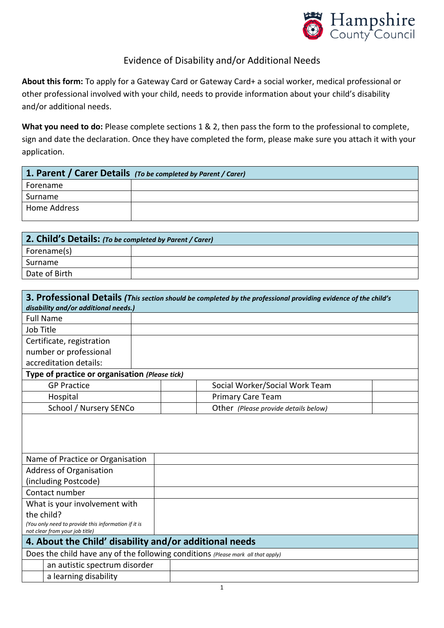

## Evidence of Disability and/or Additional Needs

**About this form:** To apply for a Gateway Card or Gateway Card+ a social worker, medical professional or other professional involved with your child, needs to provide information about your child's disability and/or additional needs.

**What you need to do:** Please complete sections 1 & 2, then pass the form to the professional to complete, sign and date the declaration. Once they have completed the form, please make sure you attach it with your application.

| 1. Parent / Carer Details (To be completed by Parent / Carer) |  |  |  |  |  |
|---------------------------------------------------------------|--|--|--|--|--|
| Forename                                                      |  |  |  |  |  |
| Surname                                                       |  |  |  |  |  |
| Home Address                                                  |  |  |  |  |  |

| 2. Child's Details: (To be completed by Parent / Carer) |  |  |  |  |  |
|---------------------------------------------------------|--|--|--|--|--|
| Forename(s)                                             |  |  |  |  |  |
| Surname                                                 |  |  |  |  |  |
| Date of Birth                                           |  |  |  |  |  |

|                                                                                  |                                                                                       |  | 3. Professional Details (This section should be completed by the professional providing evidence of the child's |  |  |
|----------------------------------------------------------------------------------|---------------------------------------------------------------------------------------|--|-----------------------------------------------------------------------------------------------------------------|--|--|
|                                                                                  | disability and/or additional needs.)                                                  |  |                                                                                                                 |  |  |
| <b>Full Name</b>                                                                 |                                                                                       |  |                                                                                                                 |  |  |
| Job Title                                                                        |                                                                                       |  |                                                                                                                 |  |  |
|                                                                                  | Certificate, registration                                                             |  |                                                                                                                 |  |  |
|                                                                                  | number or professional                                                                |  |                                                                                                                 |  |  |
|                                                                                  | accreditation details:                                                                |  |                                                                                                                 |  |  |
|                                                                                  | Type of practice or organisation (Please tick)                                        |  |                                                                                                                 |  |  |
|                                                                                  | <b>GP Practice</b>                                                                    |  | Social Worker/Social Work Team                                                                                  |  |  |
| Hospital                                                                         |                                                                                       |  | <b>Primary Care Team</b>                                                                                        |  |  |
| School / Nursery SENCo                                                           |                                                                                       |  | Other (Please provide details below)                                                                            |  |  |
|                                                                                  |                                                                                       |  |                                                                                                                 |  |  |
|                                                                                  | Name of Practice or Organisation                                                      |  |                                                                                                                 |  |  |
|                                                                                  | Address of Organisation                                                               |  |                                                                                                                 |  |  |
|                                                                                  | (including Postcode)                                                                  |  |                                                                                                                 |  |  |
| Contact number                                                                   |                                                                                       |  |                                                                                                                 |  |  |
|                                                                                  | What is your involvement with                                                         |  |                                                                                                                 |  |  |
| the child?                                                                       |                                                                                       |  |                                                                                                                 |  |  |
|                                                                                  | (You only need to provide this information if it is<br>not clear from your job title) |  |                                                                                                                 |  |  |
| 4. About the Child' disability and/or additional needs                           |                                                                                       |  |                                                                                                                 |  |  |
| Does the child have any of the following conditions (Please mark all that apply) |                                                                                       |  |                                                                                                                 |  |  |
| an autistic spectrum disorder                                                    |                                                                                       |  |                                                                                                                 |  |  |
| a learning disability                                                            |                                                                                       |  |                                                                                                                 |  |  |